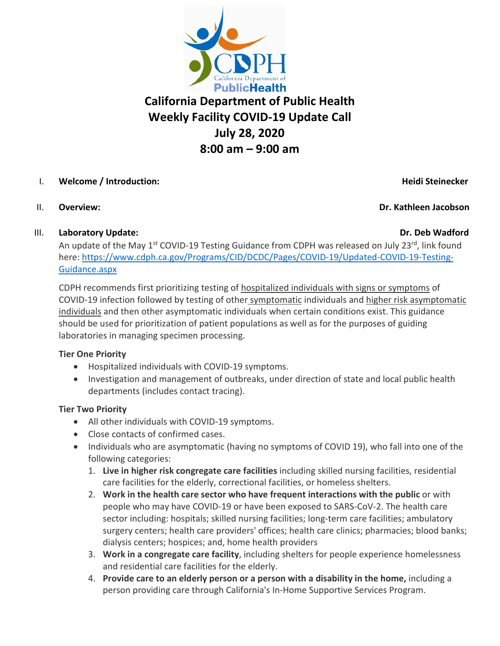

# **California Department of Public Health Weekly Facility COVID-19 Update Call July 28, 2020 8:00 am – 9:00 am**

# I. **Welcome / Introduction: Heidi Steinecker**

II. **Overview: Dr. Kathleen Jacobson**

# III. **Laboratory Update: Dr. Deb Wadford**

An update of the May 1<sup>st</sup> COVID-19 Testing Guidance from CDPH was released on July 23<sup>rd</sup>, link found here: [https://www.cdph.ca.gov/Programs/CID/DCDC/Pages/COVID-19/Updated-COVID-19-Testing-](https://www.cdph.ca.gov/Programs/CID/DCDC/Pages/COVID-19/Updated-COVID-19-Testing-Guidance.aspx)[Guidance.aspx](https://www.cdph.ca.gov/Programs/CID/DCDC/Pages/COVID-19/Updated-COVID-19-Testing-Guidance.aspx)

CDPH recommends first prioritizing testing of hospitalized individuals with signs or symptoms of COVID-19 infection followed by testing of other symptomatic individuals and higher risk asymptomatic individuals and then other asymptomatic individuals when certain conditions exist. This guidance should be used for prioritization of patient populations as well as for the purposes of guiding laboratories in managing specimen processing.

# **Tier One Priority**

- Hospitalized individuals with COVID-19 symptoms.
- Investigation and management of outbreaks, under direction of state and local public health departments (includes contact tracing).

# **Tier Two Priority**

- All other individuals with COVID-19 symptoms.
- Close contacts of confirmed cases.
- Individuals who are asymptomatic (having no symptoms of COVID 19), who fall into one of the following categories:
	- 1. **Live in higher risk congregate care facilities** including skilled nursing facilities, residential care facilities for the elderly, correctional facilities, or homeless shelters.
	- 2. **Work in the health care sector who have frequent interactions with the public** or with people who may have COVID-19 or have been exposed to SARS-CoV-2. The health care sector including: hospitals; skilled nursing facilities; long-term care facilities; ambulatory surgery centers; health care providers' offices; health care clinics; pharmacies; blood banks; dialysis centers; hospices; and, home health providers
	- 3. **Work in a congregate care facility**, including shelters for people experience homelessness and residential care facilities for the elderly.
	- 4. **Provide care to an elderly person or a person with a disability in the home,** including a person providing care through California's In-Home Supportive Services Program.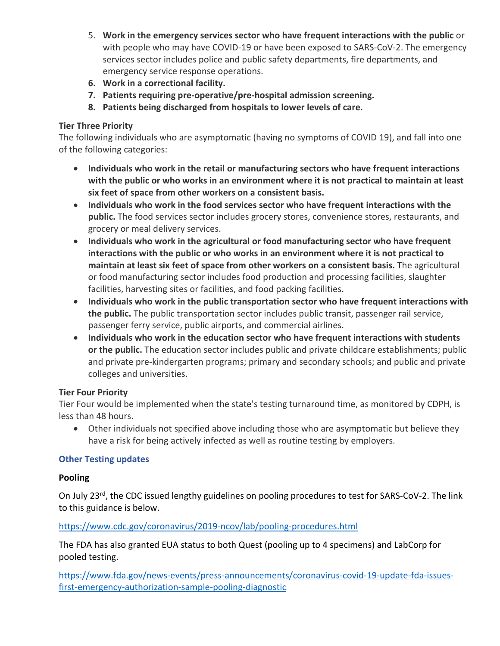- 5. **Work in the emergency services sector who have frequent interactions with the public** or with people who may have COVID-19 or have been exposed to SARS-CoV-2. The emergency services sector includes police and public safety departments, fire departments, and emergency service response operations.
- **6. Work in a correctional facility.**
- **7. Patients requiring pre-operative/pre-hospital admission screening.**
- **8. Patients being discharged from hospitals to lower levels of care.**

### **Tier Three Priority**

The following individuals who are asymptomatic (having no symptoms of COVID 19), and fall into one of the following categories:

- **Individuals who work in the retail or manufacturing sectors who have frequent interactions with the public or who works in an environment where it is not practical to maintain at least six feet of space from other workers on a consistent basis.**
- **Individuals who work in the food services sector who have frequent interactions with the public.** The food services sector includes grocery stores, convenience stores, restaurants, and grocery or meal delivery services.
- **Individuals who work in the agricultural or food manufacturing sector who have frequent interactions with the public or who works in an environment where it is not practical to maintain at least six feet of space from other workers on a consistent basis.** The agricultural or food manufacturing sector includes food production and processing facilities, slaughter facilities, harvesting sites or facilities, and food packing facilities.
- **Individuals who work in the public transportation sector who have frequent interactions with the public.** The public transportation sector includes public transit, passenger rail service, passenger ferry service, public airports, and commercial airlines.
- **Individuals who work in the education sector who have frequent interactions with students or the public.** The education sector includes public and private childcare establishments; public and private pre-kindergarten programs; primary and secondary schools; and public and private colleges and universities.

### **Tier Four Priority**

Tier Four would be implemented when the state's testing turnaround time, as monitored by CDPH, is less than 48 hours.

• Other individuals not specified above including those who are asymptomatic but believe they have a risk for being actively infected as well as routine testing by employers.

### **Other Testing updates**

### **Pooling**

On July 23<sup>rd</sup>, the CDC issued lengthy guidelines on pooling procedures to test for SARS-CoV-2. The link to this guidance is below.

<https://www.cdc.gov/coronavirus/2019-ncov/lab/pooling-procedures.html>

The FDA has also granted EUA status to both Quest (pooling up to 4 specimens) and LabCorp for pooled testing.

[https://www.fda.gov/news-events/press-announcements/coronavirus-covid-19-update-fda-issues](https://www.fda.gov/news-events/press-announcements/coronavirus-covid-19-update-fda-issues-first-emergency-authorization-sample-pooling-diagnostic)[first-emergency-authorization-sample-pooling-diagnostic](https://www.fda.gov/news-events/press-announcements/coronavirus-covid-19-update-fda-issues-first-emergency-authorization-sample-pooling-diagnostic)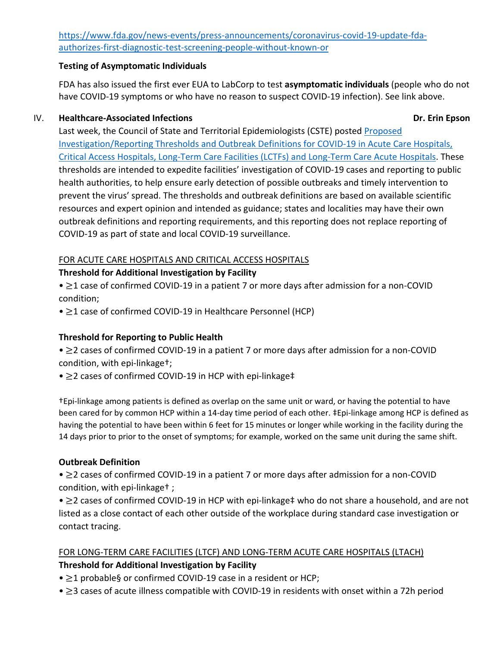[https://www.fda.gov/news-events/press-announcements/coronavirus-covid-19-update-fda](https://www.fda.gov/news-events/press-announcements/coronavirus-covid-19-update-fda-authorizes-first-diagnostic-test-screening-people-without-known-or)[authorizes-first-diagnostic-test-screening-people-without-known-or](https://www.fda.gov/news-events/press-announcements/coronavirus-covid-19-update-fda-authorizes-first-diagnostic-test-screening-people-without-known-or)

### **Testing of Asymptomatic Individuals**

FDA has also issued the first ever EUA to LabCorp to test **asymptomatic individuals** (people who do not have COVID-19 symptoms or who have no reason to suspect COVID-19 infection). See link above.

### IV. **Healthcare-Associated Infections Dr. Erin Epson**

Last week, the Council of State and Territorial Epidemiologists (CSTE) posted [Proposed](https://preparedness.cste.org/wp-content/uploads/2020/07/LCTF-Outbreak-Definition.pdf)  [Investigation/Reporting Thresholds and Outbreak Definitions for COVID-19 in Acute Care Hospitals,](https://preparedness.cste.org/wp-content/uploads/2020/07/LCTF-Outbreak-Definition.pdf)  [Critical Access Hospitals, Long-Term Care Facilities \(LCTFs\) and Long-Term Care Acute Hospitals.](https://preparedness.cste.org/wp-content/uploads/2020/07/LCTF-Outbreak-Definition.pdf) These thresholds are intended to expedite facilities' investigation of COVID-19 cases and reporting to public health authorities, to help ensure early detection of possible outbreaks and timely intervention to prevent the virus' spread. The thresholds and outbreak definitions are based on available scientific resources and expert opinion and intended as guidance; states and localities may have their own outbreak definitions and reporting requirements, and this reporting does not replace reporting of COVID-19 as part of state and local COVID-19 surveillance.

### FOR ACUTE CARE HOSPITALS AND CRITICAL ACCESS HOSPITALS

### **Threshold for Additional Investigation by Facility**

• ≥1 case of confirmed COVID-19 in a patient 7 or more days after admission for a non-COVID condition;

• ≥1 case of confirmed COVID-19 in Healthcare Personnel (HCP)

### **Threshold for Reporting to Public Health**

• ≥2 cases of confirmed COVID-19 in a patient 7 or more days after admission for a non-COVID condition, with epi-linkage†;

• ≥2 cases of confirmed COVID-19 in HCP with epi-linkage‡

†Epi-linkage among patients is defined as overlap on the same unit or ward, or having the potential to have been cared for by common HCP within a 14-day time period of each other. ‡Epi-linkage among HCP is defined as having the potential to have been within 6 feet for 15 minutes or longer while working in the facility during the 14 days prior to prior to the onset of symptoms; for example, worked on the same unit during the same shift.

### **Outbreak Definition**

• ≥2 cases of confirmed COVID-19 in a patient 7 or more days after admission for a non-COVID condition, with epi-linkage† ;

• ≥2 cases of confirmed COVID-19 in HCP with epi-linkage‡ who do not share a household, and are not listed as a close contact of each other outside of the workplace during standard case investigation or contact tracing.

### FOR LONG-TERM CARE FACILITIES (LTCF) AND LONG-TERM ACUTE CARE HOSPITALS (LTACH) **Threshold for Additional Investigation by Facility**

- ≥1 probable§ or confirmed COVID-19 case in a resident or HCP;
- ≥3 cases of acute illness compatible with COVID-19 in residents with onset within a 72h period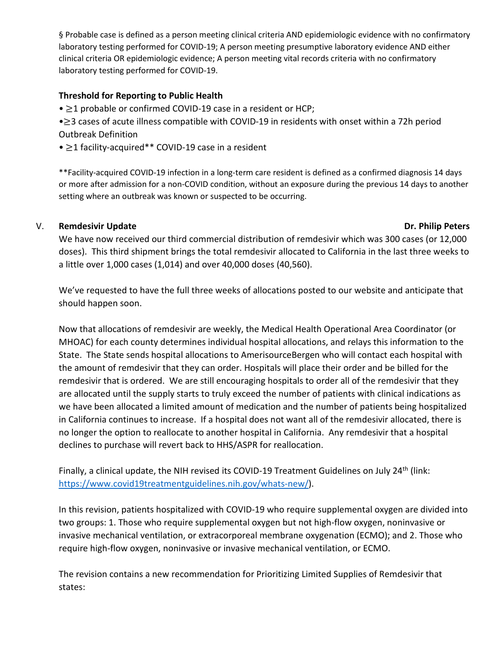§ Probable case is defined as a person meeting clinical criteria AND epidemiologic evidence with no confirmatory laboratory testing performed for COVID-19; A person meeting presumptive laboratory evidence AND either clinical criteria OR epidemiologic evidence; A person meeting vital records criteria with no confirmatory laboratory testing performed for COVID-19.

### **Threshold for Reporting to Public Health**

• ≥1 probable or confirmed COVID-19 case in a resident or HCP;

•≥3 cases of acute illness compatible with COVID-19 in residents with onset within a 72h period Outbreak Definition

• ≥1 facility-acquired\*\* COVID-19 case in a resident

\*\*Facility-acquired COVID-19 infection in a long-term care resident is defined as a confirmed diagnosis 14 days or more after admission for a non-COVID condition, without an exposure during the previous 14 days to another setting where an outbreak was known or suspected to be occurring.

### V. Remdesivir Update **Dr. Philip Peters**

We have now received our third commercial distribution of remdesivir which was 300 cases (or 12,000 doses). This third shipment brings the total remdesivir allocated to California in the last three weeks to a little over 1,000 cases (1,014) and over 40,000 doses (40,560).

We've requested to have the full three weeks of allocations posted to our website and anticipate that should happen soon.

Now that allocations of remdesivir are weekly, the Medical Health Operational Area Coordinator (or MHOAC) for each county determines individual hospital allocations, and relays this information to the State. The State sends hospital allocations to AmerisourceBergen who will contact each hospital with the amount of remdesivir that they can order. Hospitals will place their order and be billed for the remdesivir that is ordered. We are still encouraging hospitals to order all of the remdesivir that they are allocated until the supply starts to truly exceed the number of patients with clinical indications as we have been allocated a limited amount of medication and the number of patients being hospitalized in California continues to increase. If a hospital does not want all of the remdesivir allocated, there is no longer the option to reallocate to another hospital in California. Any remdesivir that a hospital declines to purchase will revert back to HHS/ASPR for reallocation.

Finally, a clinical update, the NIH revised its COVID-19 Treatment Guidelines on July 24<sup>th</sup> (link: [https://www.covid19treatmentguidelines.nih.gov/whats-new/\)](https://www.covid19treatmentguidelines.nih.gov/whats-new/).

In this revision, patients hospitalized with COVID-19 who require supplemental oxygen are divided into two groups: 1. Those who require supplemental oxygen but not high-flow oxygen, noninvasive or invasive mechanical ventilation, or extracorporeal membrane oxygenation (ECMO); and 2. Those who require high-flow oxygen, noninvasive or invasive mechanical ventilation, or ECMO.

The revision contains a new recommendation for Prioritizing Limited Supplies of Remdesivir that states: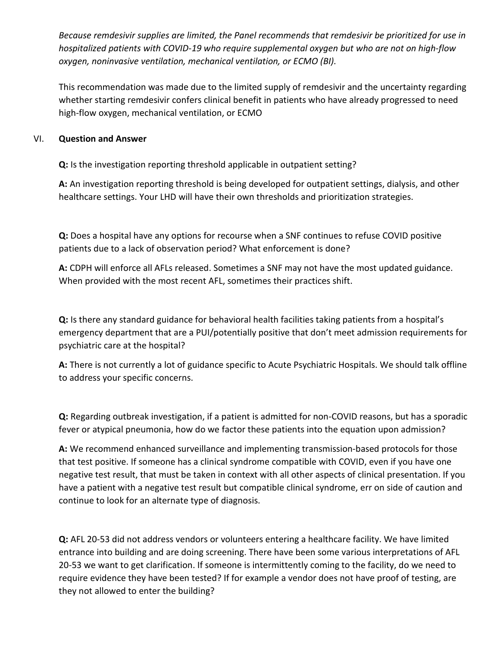*Because remdesivir supplies are limited, the Panel recommends that remdesivir be prioritized for use in hospitalized patients with COVID-19 who require supplemental oxygen but who are not on high-flow oxygen, noninvasive ventilation, mechanical ventilation, or ECMO (BI).* 

This recommendation was made due to the limited supply of remdesivir and the uncertainty regarding whether starting remdesivir confers clinical benefit in patients who have already progressed to need high-flow oxygen, mechanical ventilation, or ECMO

### VI. **Question and Answer**

**Q:** Is the investigation reporting threshold applicable in outpatient setting?

**A:** An investigation reporting threshold is being developed for outpatient settings, dialysis, and other healthcare settings. Your LHD will have their own thresholds and prioritization strategies.

**Q:** Does a hospital have any options for recourse when a SNF continues to refuse COVID positive patients due to a lack of observation period? What enforcement is done?

**A:** CDPH will enforce all AFLs released. Sometimes a SNF may not have the most updated guidance. When provided with the most recent AFL, sometimes their practices shift.

**Q:** Is there any standard guidance for behavioral health facilities taking patients from a hospital's emergency department that are a PUI/potentially positive that don't meet admission requirements for psychiatric care at the hospital?

**A:** There is not currently a lot of guidance specific to Acute Psychiatric Hospitals. We should talk offline to address your specific concerns.

**Q:** Regarding outbreak investigation, if a patient is admitted for non-COVID reasons, but has a sporadic fever or atypical pneumonia, how do we factor these patients into the equation upon admission?

**A:** We recommend enhanced surveillance and implementing transmission-based protocols for those that test positive. If someone has a clinical syndrome compatible with COVID, even if you have one negative test result, that must be taken in context with all other aspects of clinical presentation. If you have a patient with a negative test result but compatible clinical syndrome, err on side of caution and continue to look for an alternate type of diagnosis.

**Q:** AFL 20-53 did not address vendors or volunteers entering a healthcare facility. We have limited entrance into building and are doing screening. There have been some various interpretations of AFL 20-53 we want to get clarification. If someone is intermittently coming to the facility, do we need to require evidence they have been tested? If for example a vendor does not have proof of testing, are they not allowed to enter the building?